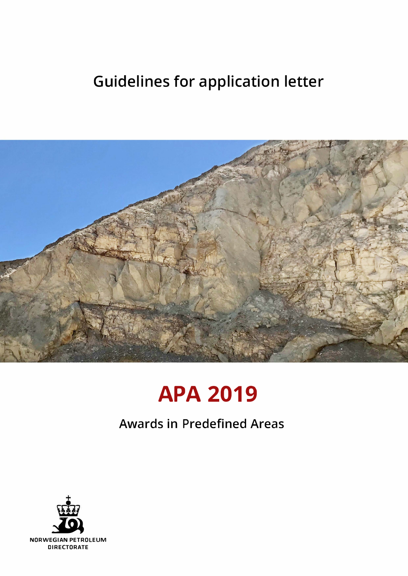## Guidelines for application letter



# **APA 2019**

### Awards in Predefined Areas

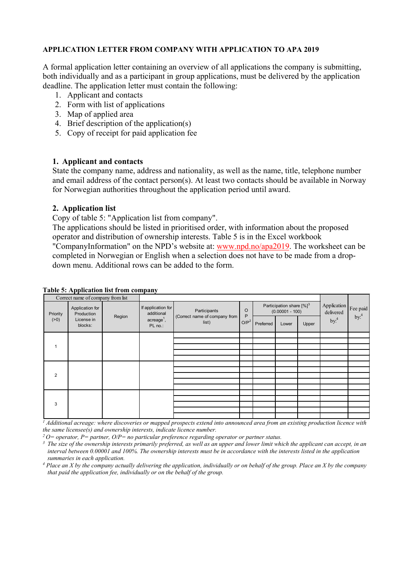#### **APPLICATION LETTER FROM COMPANY WITH APPLICATION TO APA 2019**

A formal application letter containing an overview of all applications the company is submitting, both individually and as a participant in group applications, must be delivered by the application deadline. The application letter must contain the following:

- 1. Applicant and contacts
- 2. Form with list of applications
- 3. Map of applied area
- 4. Brief description of the application(s)
- 5. Copy of receipt for paid application fee

#### **1. Applicant and contacts**

State the company name, address and nationality, as well as the name, title, telephone number and email address of the contact person(s). At least two contacts should be available in Norway for Norwegian authorities throughout the application period until award.

#### **2. Application list**

Copy of table 5: "Application list from company".

The applications should be listed in prioritised order, with information about the proposed operator and distribution of ownership interests. Table 5 is in the Excel workbook "CompanyInformation" on the NPD's website at: [www.npd.no/apa2019.](https://www.npd.no/apa2019) The worksheet can be completed in Norwegian or English when a selection does not have to be made from a dropdown menu. Additional rows can be added to the form.

| Correct name of company from list |                                                        |        |                                                                     |                                                        |                         |                                                             |       |       |                          |                  |
|-----------------------------------|--------------------------------------------------------|--------|---------------------------------------------------------------------|--------------------------------------------------------|-------------------------|-------------------------------------------------------------|-------|-------|--------------------------|------------------|
| Priority<br>( > 0)                | Application for<br>Production<br>License in<br>blocks: | Region | If application for<br>additional<br>$\text{acreage}^1$ ,<br>PL no.: | Participants<br>(Correct name of company from<br>list) | $\circ$<br>P<br>$O/P^2$ | Participation share $[%]$ <sup>3</sup><br>$(0.00001 - 100)$ |       |       | Application<br>delivered | Fee paid         |
|                                   |                                                        |        |                                                                     |                                                        |                         | Preferred                                                   | Lower | Upper | by: <sup>4</sup>         | by: <sup>4</sup> |
|                                   |                                                        |        |                                                                     |                                                        |                         |                                                             |       |       |                          |                  |
|                                   |                                                        |        |                                                                     |                                                        |                         |                                                             |       |       |                          |                  |
|                                   |                                                        |        |                                                                     |                                                        |                         |                                                             |       |       |                          |                  |
|                                   |                                                        |        |                                                                     |                                                        |                         |                                                             |       |       |                          |                  |
| $\overline{2}$                    |                                                        |        |                                                                     |                                                        |                         |                                                             |       |       |                          |                  |
|                                   |                                                        |        |                                                                     |                                                        |                         |                                                             |       |       |                          |                  |
|                                   |                                                        |        |                                                                     |                                                        |                         |                                                             |       |       |                          |                  |
|                                   |                                                        |        |                                                                     |                                                        |                         |                                                             |       |       |                          |                  |
|                                   |                                                        |        |                                                                     |                                                        |                         |                                                             |       |       |                          |                  |
| 3                                 |                                                        |        |                                                                     |                                                        |                         |                                                             |       |       |                          |                  |
|                                   |                                                        |        |                                                                     |                                                        |                         |                                                             |       |       |                          |                  |
|                                   |                                                        |        |                                                                     |                                                        |                         |                                                             |       |       |                          |                  |
|                                   |                                                        |        |                                                                     |                                                        |                         |                                                             |       |       |                          |                  |

#### **Table 5: Application list from company**

*<sup>1</sup> Additional acreage: where discoveries or mapped prospects extend into announced area from an existing production licence with the same licensee(s) and ownership interests, indicate licence number.*

*2 O= operator, P= partner, O/P= no particular preference regarding operator or partner status.*

<sup>3</sup> The size of the ownership interests primarily preferred, as well as an upper and lower limit which the applicant can accept, in an *interval between 0.00001 and 100%. The ownership interests must be in accordance with the interests listed in the application summaries in each application.*

*<sup>4</sup> Place an X by the company actually delivering the application, individually or on behalf of the group. Place an X by the company that paid the application fee, individually or on the behalf of the group.*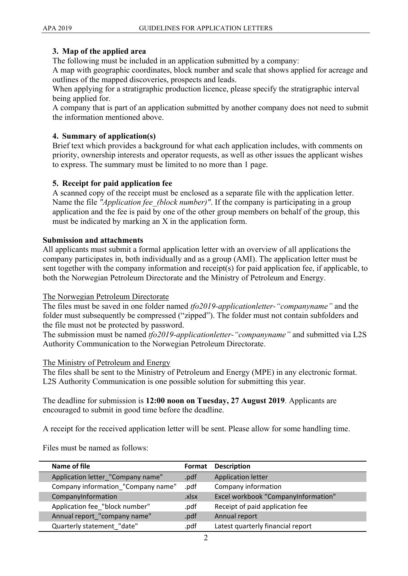#### **3. Map of the applied area**

The following must be included in an application submitted by a company:

A map with geographic coordinates, block number and scale that shows applied for acreage and outlines of the mapped discoveries, prospects and leads.

When applying for a stratigraphic production licence, please specify the stratigraphic interval being applied for.

A company that is part of an application submitted by another company does not need to submit the information mentioned above.

#### **4. Summary of application(s)**

Brief text which provides a background for what each application includes, with comments on priority, ownership interests and operator requests, as well as other issues the applicant wishes to express. The summary must be limited to no more than 1 page.

#### **5. Receipt for paid application fee**

A scanned copy of the receipt must be enclosed as a separate file with the application letter. Name the file *"Application fee (block number)"*. If the company is participating in a group application and the fee is paid by one of the other group members on behalf of the group, this must be indicated by marking an X in the application form.

#### **Submission and attachments**

All applicants must submit a formal application letter with an overview of all applications the company participates in, both individually and as a group (AMI). The application letter must be sent together with the company information and receipt(s) for paid application fee, if applicable, to both the Norwegian Petroleum Directorate and the Ministry of Petroleum and Energy.

#### The Norwegian Petroleum Directorate

The files must be saved in one folder named *tfo2019-applicationletter-"companyname"* and the folder must subsequently be compressed ("zipped"). The folder must not contain subfolders and the file must not be protected by password.

The submission must be named *tfo2019-applicationletter-"companyname"* and submitted via L2S Authority Communication to the Norwegian Petroleum Directorate.

#### The Ministry of Petroleum and Energy

The files shall be sent to the Ministry of Petroleum and Energy (MPE) in any electronic format. L2S Authority Communication is one possible solution for submitting this year.

The deadline for submission is **12:00 noon on Tuesday, 27 August 2019**. Applicants are encouraged to submit in good time before the deadline.

A receipt for the received application letter will be sent. Please allow for some handling time.

Files must be named as follows:

| Name of file                       | Format | <b>Description</b>                  |
|------------------------------------|--------|-------------------------------------|
| Application letter_"Company name"  | .pdf   | <b>Application letter</b>           |
| Company information_"Company name" | .pdf   | Company information                 |
| CompanyInformation                 | .xlsx  | Excel workbook "CompanyInformation" |
| Application fee_"block number"     | .pdf   | Receipt of paid application fee     |
| Annual report_"company name"       | .pdf   | Annual report                       |
| Quarterly statement_"date"         | .pdf   | Latest quarterly financial report   |